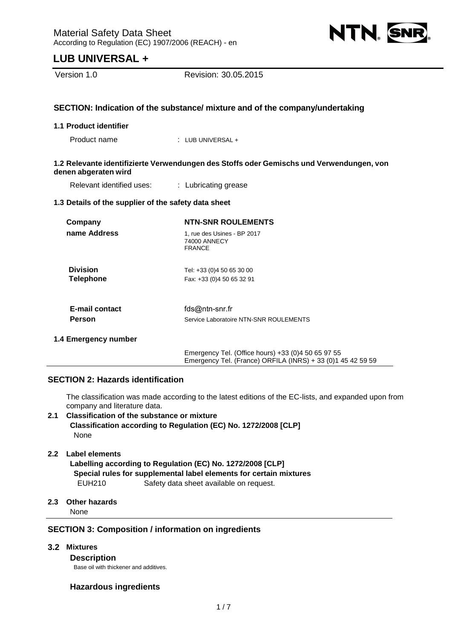

Version 1.0 Revision: 30.05.2015

# **SECTION: Indication of the substance/ mixture and of the company/undertaking**

#### **1.1 Product identifier**

Product name : LUB UNIVERSAL +

## **1.2 Relevante identifizierte Verwendungen des Stoffs oder Gemischs und Verwendungen, von denen abgeraten wird**

Relevant identified uses: : Lubricating grease

#### **1.3 Details of the supplier of the safety data sheet**

| Company                             | <b>NTN-SNR ROULEMENTS</b>                                    |  |  |  |  |
|-------------------------------------|--------------------------------------------------------------|--|--|--|--|
| name Address                        | 1, rue des Usines - BP 2017<br>74000 ANNECY<br><b>FRANCE</b> |  |  |  |  |
| <b>Division</b><br><b>Telephone</b> | Tel: +33 (0)4 50 65 30 00<br>Fax: +33 (0)4 50 65 32 91       |  |  |  |  |
| <b>E-mail contact</b><br>Person     | fds@ntn-snr.fr<br>Service Laboratoire NTN-SNR ROULEMENTS     |  |  |  |  |
|                                     |                                                              |  |  |  |  |

**1.4 Emergency number**

Emergency Tel. (Office hours) +33 (0)4 50 65 97 55 Emergency Tel. (France) ORFILA (INRS) + 33 (0)1 45 42 59 59

# **SECTION 2: Hazards identification**

The classification was made according to the latest editions of the EC-lists, and expanded upon from company and literature data.

**2.1 Classification of the substance or mixture Classification according to Regulation (EC) No. 1272/2008 [CLP]**  None

# **2.2 Label elements**

**Labelling according to Regulation (EC) No. 1272/2008 [CLP] Special rules for supplemental label elements for certain mixtures**  EUH210 Safety data sheet available on request.

## **2.3 Other hazards**

None

# **SECTION 3: Composition / information on ingredients**

## **3.2 Mixtures**

**Description**

Base oil with thickener and additives.

# **Hazardous ingredients**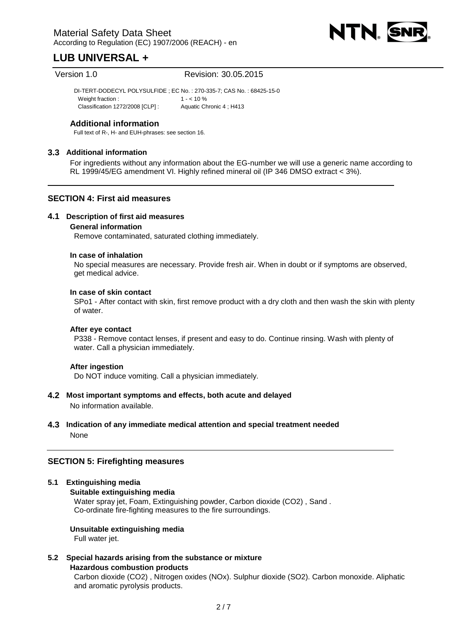

Version 1.0 Revision: 30.05.2015

DI-TERT-DODECYL POLYSULFIDE ; EC No. : 270-335-7; CAS No. : 68425-15-0 Weight fraction  $\cdot$  1 -  $\lt$  10 % Classification 1272/2008 [CLP] : Aquatic Chronic 4 ; H413

# **Additional information**

Full text of R-, H- and EUH-phrases: see section 16.

# **3.3 Additional information**

For ingredients without any information about the EG-number we will use a generic name according to RL 1999/45/EG amendment VI. Highly refined mineral oil (IP 346 DMSO extract < 3%).

# **SECTION 4: First aid measures**

# **4.1 Description of first aid measures**

#### **General information**

Remove contaminated, saturated clothing immediately.

#### **In case of inhalation**

No special measures are necessary. Provide fresh air. When in doubt or if symptoms are observed, get medical advice.

#### **In case of skin contact**

SPo1 - After contact with skin, first remove product with a dry cloth and then wash the skin with plenty of water.

#### **After eye contact**

P338 - Remove contact lenses, if present and easy to do. Continue rinsing. Wash with plenty of water. Call a physician immediately.

#### **After ingestion**

Do NOT induce vomiting. Call a physician immediately.

# **4.2 Most important symptoms and effects, both acute and delayed**  No information available.

**4.3 Indication of any immediate medical attention and special treatment needed**  None

# **SECTION 5: Firefighting measures**

#### **5.1 Extinguishing media**

#### **Suitable extinguishing media**

Water spray jet, Foam, Extinguishing powder, Carbon dioxide (CO2) , Sand . Co-ordinate fire-fighting measures to the fire surroundings.

#### **Unsuitable extinguishing media**

Full water jet.

# **5.2 Special hazards arising from the substance or mixture**

**Hazardous combustion products** 

Carbon dioxide (CO2) , Nitrogen oxides (NOx). Sulphur dioxide (SO2). Carbon monoxide. Aliphatic and aromatic pyrolysis products.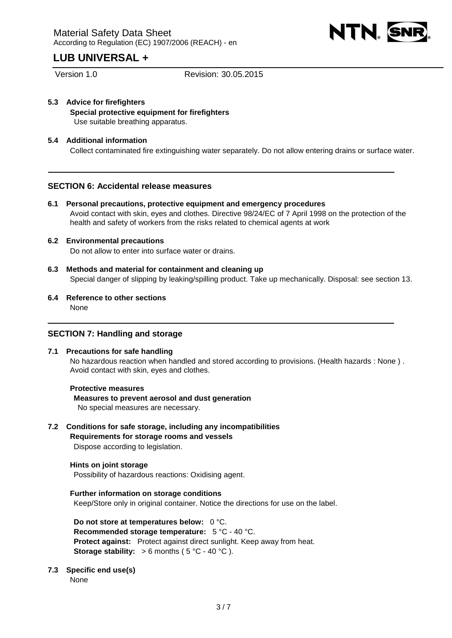

Version 1.0 Revision: 30.05.2015

**5.3 Advice for firefighters Special protective equipment for firefighters**  Use suitable breathing apparatus.

# **5.4 Additional information**

Collect contaminated fire extinguishing water separately. Do not allow entering drains or surface water.

# **SECTION 6: Accidental release measures**

**6.1 Personal precautions, protective equipment and emergency procedures**  Avoid contact with skin, eyes and clothes. Directive 98/24/EC of 7 April 1998 on the protection of the health and safety of workers from the risks related to chemical agents at work

# **6.2 Environmental precautions**

Do not allow to enter into surface water or drains.

- **6.3 Methods and material for containment and cleaning up**  Special danger of slipping by leaking/spilling product. Take up mechanically. Disposal: see section 13.
- **6.4 Reference to other sections**  None

# **SECTION 7: Handling and storage**

#### **7.1 Precautions for safe handling**

No hazardous reaction when handled and stored according to provisions. (Health hazards : None ) . Avoid contact with skin, eyes and clothes.

#### **Protective measures**

**Measures to prevent aerosol and dust generation** 

No special measures are necessary.

# **7.2 Conditions for safe storage, including any incompatibilities**

**Requirements for storage rooms and vessels**  Dispose according to legislation.

# **Hints on joint storage**

Possibility of hazardous reactions: Oxidising agent.

# **Further information on storage conditions**

Keep/Store only in original container. Notice the directions for use on the label.

**Do not store at temperatures below:** 0 °C. **Recommended storage temperature:** 5 °C - 40 °C. **Protect against:** Protect against direct sunlight. Keep away from heat. **Storage stability:**  $> 6$  months ( $5^{\circ}$ C - 40  $^{\circ}$ C).

# **7.3 Specific end use(s)**

None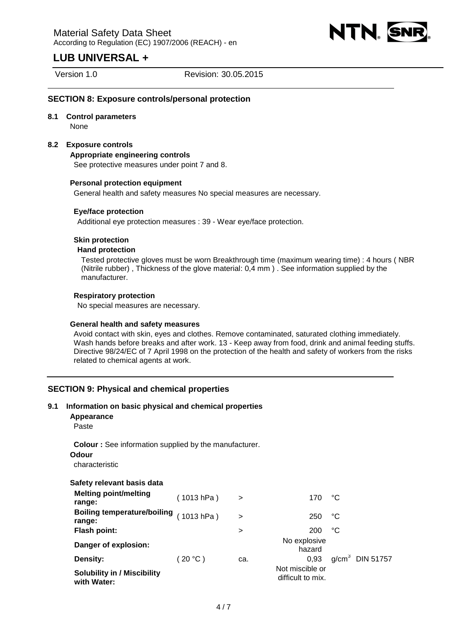

Version 1.0 Revision: 30.05.2015

# **SECTION 8: Exposure controls/personal protection**

# **8.1 Control parameters**

None

# **8.2 Exposure controls**

**Appropriate engineering controls** 

See protective measures under point 7 and 8.

#### **Personal protection equipment**

General health and safety measures No special measures are necessary.

# **Eye/face protection**

Additional eye protection measures : 39 - Wear eye/face protection.

# **Skin protection**

# **Hand protection**

Tested protective gloves must be worn Breakthrough time (maximum wearing time) : 4 hours ( NBR (Nitrile rubber) , Thickness of the glove material: 0,4 mm ) . See information supplied by the manufacturer.

# **Respiratory protection**

No special measures are necessary.

#### **General health and safety measures**

Avoid contact with skin, eyes and clothes. Remove contaminated, saturated clothing immediately. Wash hands before breaks and after work. 13 - Keep away from food, drink and animal feeding stuffs. Directive 98/24/EC of 7 April 1998 on the protection of the health and safety of workers from the risks related to chemical agents at work.

# **SECTION 9: Physical and chemical properties**

#### **9.1 Information on basic physical and chemical properties**

**Appearance** 

Paste

**Colour :** See information supplied by the manufacturer.

#### **Odour**

characteristic

| Safety relevant basis data |  |  |
|----------------------------|--|--|
|----------------------------|--|--|

| <b>Melting point/melting</b><br>range:            | (1013 hPa) | $\rightarrow$ | 170                                  | ℃  |                   |
|---------------------------------------------------|------------|---------------|--------------------------------------|----|-------------------|
| Boiling temperature/boiling (1013 hPa)<br>range:  |            | $\geq$        | 250                                  | °C |                   |
| Flash point:                                      |            | >             | 200                                  | °C |                   |
| Danger of explosion:                              |            |               | No explosive<br>hazard               |    |                   |
| Density:                                          | $20 °C$ )  | ca.           | 0.93                                 |    | $g/cm3$ DIN 51757 |
| <b>Solubility in / Miscibility</b><br>with Water: |            |               | Not miscible or<br>difficult to mix. |    |                   |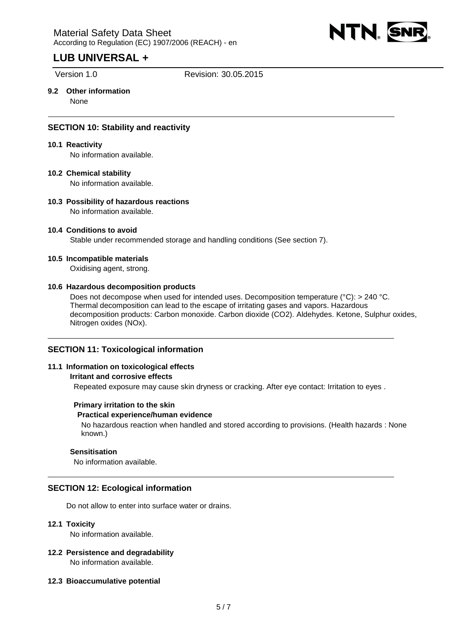

Version 1.0 Revision: 30.05.2015

# **9.2 Other information**

None

# **SECTION 10: Stability and reactivity**

# **10.1 Reactivity**

No information available.

# **10.2 Chemical stability**

No information available.

#### **10.3 Possibility of hazardous reactions**  No information available.

# **10.4 Conditions to avoid**

Stable under recommended storage and handling conditions (See section 7).

#### **10.5 Incompatible materials**

Oxidising agent, strong.

#### **10.6 Hazardous decomposition products**

Does not decompose when used for intended uses. Decomposition temperature (°C): > 240 °C. Thermal decomposition can lead to the escape of irritating gases and vapors. Hazardous decomposition products: Carbon monoxide. Carbon dioxide (CO2). Aldehydes. Ketone, Sulphur oxides, Nitrogen oxides (NOx).

# **SECTION 11: Toxicological information**

#### **11.1 Information on toxicological effects**

## **Irritant and corrosive effects**

Repeated exposure may cause skin dryness or cracking. After eye contact: Irritation to eyes .

#### **Primary irritation to the skin**

## **Practical experience/human evidence**

No hazardous reaction when handled and stored according to provisions. (Health hazards : None known.)

# **Sensitisation**

No information available.

# **SECTION 12: Ecological information**

Do not allow to enter into surface water or drains.

## **12.1 Toxicity**

No information available.

- **12.2 Persistence and degradability**  No information available.
- **12.3 Bioaccumulative potential**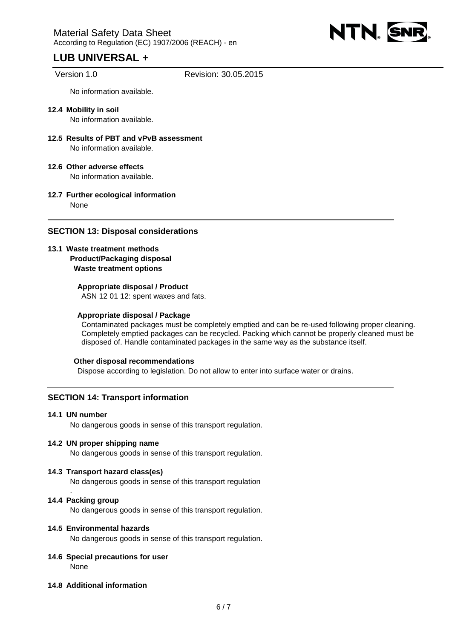

Version 1.0 Revision: 30.05.2015

No information available.

- **12.4 Mobility in soil**  No information available.
- **12.5 Results of PBT and vPvB assessment**  No information available.
- **12.6 Other adverse effects**  No information available.
- **12.7 Further ecological information**  None

# **SECTION 13: Disposal considerations**

# **13.1 Waste treatment methods Product/Packaging disposal Waste treatment options**

# **Appropriate disposal / Product**

ASN 12 01 12: spent waxes and fats.

## **Appropriate disposal / Package**

Contaminated packages must be completely emptied and can be re-used following proper cleaning. Completely emptied packages can be recycled. Packing which cannot be properly cleaned must be disposed of. Handle contaminated packages in the same way as the substance itself.

#### **Other disposal recommendations**

Dispose according to legislation. Do not allow to enter into surface water or drains.

# **SECTION 14: Transport information**

## **14.1 UN number**

No dangerous goods in sense of this transport regulation.

## **14.2 UN proper shipping name**

No dangerous goods in sense of this transport regulation.

#### **14.3 Transport hazard class(es)**

No dangerous goods in sense of this transport regulation

#### **14.4 Packing group**

.

No dangerous goods in sense of this transport regulation.

# **14.5 Environmental hazards**

No dangerous goods in sense of this transport regulation.

#### **14.6 Special precautions for user**  None

#### **14.8 Additional information**